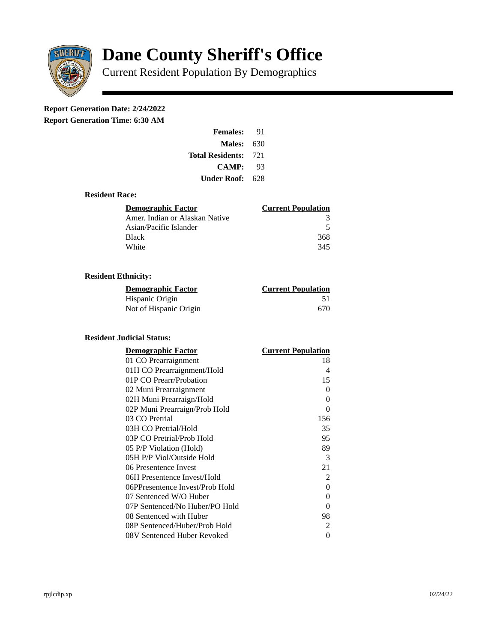

# **Dane County Sheriff's Office**

Current Resident Population By Demographics

# **Report Generation Date: 2/24/2022**

**Report Generation Time: 6:30 AM** 

| <b>Females:</b>         | 91   |
|-------------------------|------|
| Males:                  | 630  |
| <b>Total Residents:</b> | -721 |
| <b>CAMP:</b>            | 93   |
| Under Roof: .           | 628  |

## **Resident Race:**

| Demographic Factor             | <b>Current Population</b> |
|--------------------------------|---------------------------|
| Amer. Indian or Alaskan Native |                           |
| Asian/Pacific Islander         | 5                         |
| Black                          | 368                       |
| White                          | 345                       |

# **Resident Ethnicity:**

| <u>Demographic Factor</u> | <b>Current Population</b> |
|---------------------------|---------------------------|
| Hispanic Origin           | 51                        |
| Not of Hispanic Origin    | 670                       |

#### **Resident Judicial Status:**

| <b>Demographic Factor</b>       | <b>Current Population</b> |
|---------------------------------|---------------------------|
| 01 CO Prearraignment            | 18                        |
| 01H CO Prearraignment/Hold      | 4                         |
| 01P CO Prearr/Probation         | 15                        |
| 02 Muni Prearraignment          | 0                         |
| 02H Muni Prearraign/Hold        | 0                         |
| 02P Muni Prearraign/Prob Hold   | 0                         |
| 03 CO Pretrial                  | 156                       |
| 03H CO Pretrial/Hold            | 35                        |
| 03P CO Pretrial/Prob Hold       | 95                        |
| 05 P/P Violation (Hold)         | 89                        |
| 05H P/P Viol/Outside Hold       | 3                         |
| 06 Presentence Invest           | 21                        |
| 06H Presentence Invest/Hold     | $\overline{2}$            |
| 06PPresentence Invest/Prob Hold | 0                         |
| 07 Sentenced W/O Huber          | 0                         |
| 07P Sentenced/No Huber/PO Hold  | 0                         |
| 08 Sentenced with Huber         | 98                        |
| 08P Sentenced/Huber/Prob Hold   | 2                         |
| 08V Sentenced Huber Revoked     | 0                         |